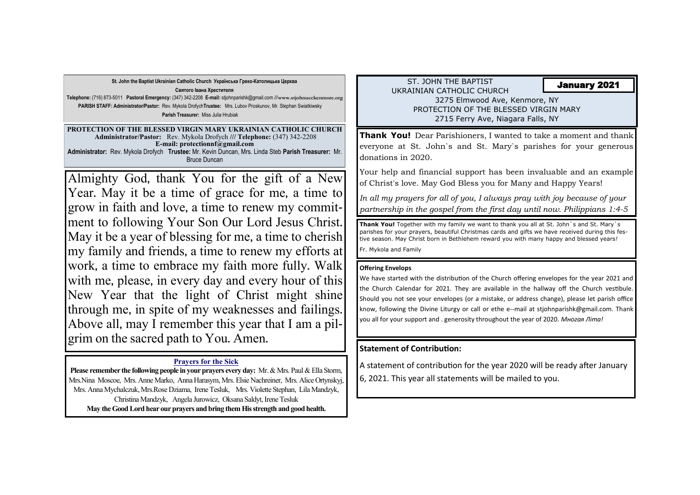ST. JOHN THE BAPTIST UKRAINIAN CATHOLIC CHURCH 3275 Elmwood Ave, Kenmore, NY PROTECTION OF THE BLESSED VIRGIN MARY 2715 Ferry Ave, Niagara Falls, NY

**St. John the Baptist Ukrainian Catholic Church Українська Греко-Католицька Церква Святого Івана Хрестителя Telephone:** (716) 873-5011 **Pastoral Emergency:** (347) 342-2208 **E-mail:** stjohnparishk@gmail.com ///**www.stjohnucckenmore.org PARISH STAFF: Administrator/Pastor:** Rev. Mykola Drofych**Trustee:** Mrs. Lubov Proskunov, Mr. Stephan Swiatkiwsky **Parish Treasurer:** Miss Julia Hrubiak

**Please remember the following people in your prayers every day:** Mr. & Mrs. Paul & Ella Storm, Mrs.Nina Moscoe, Mrs. Anne Marko, Anna Harasym, Mrs. Elsie Nachreiner, Mrs. Alice Ortynskyj, Mrs. Anna Mychalczuk, Mrs.Rose Dziama, Irene Tesluk, Mrs. Violette Stephan, Lila Mandzyk, Christina Mandzyk, Angela Jurowicz, Oksana Saldyt, Irene Tesluk **May the Good Lord hear our prayers and bring them His strength and good health.** 

**PROTECTION OF THE BLESSED VIRGIN MARY UKRAINIAN CATHOLIC CHURCH Administrator/Pastor:** Rev. Mykola Drofych **/// Telephone:** (347) 342-2208 **E-mail: protectionnf@gmail.com Administrator:** Rev. Mykola Drofych **Trustee:** Mr. Kevin Duncan, Mrs. Linda Steb **Parish Treasurer:** Mr. Bruce Duncan

## January 2021

#### **Prayers for the Sick**

**Thank You!** Dear Parishioners, I wanted to take a moment and thank everyone at St. John`s and St. Mary`s parishes for your generous donations in 2020.

Your help and financial support has been invaluable and an example of Christ's love. May God Bless you for Many and Happy Years!

*In all my prayers for all of you, I always pray with joy because of your partnership in the gospel from the first day until now. Philippians 1:4-5* 

**Thank You!** Together with my family we want to thank you all at St. John`s and St. Mary`s parishes for your prayers, beautiful Christmas cards and gifts we have received during this festive season. May Christ born in Bethlehem reward you with many happy and blessed years*!*  Fr. Mykola and Family

### **Offering Envelops**

We have started with the distribution of the Church offering envelopes for the year 2021 and the Church Calendar for 2021. They are available in the hallway off the Church vestibule. Should you not see your envelopes (or a mistake, or address change), please let parish office know, following the Divine Liturgy or call or ethe e--mail at stjohnparishk@gmail.com. Thank you all for your support and . generosity throughout the year of 2020. *Многая Літа!* 

## **Statement of Contribution:**

A statement of contribution for the year 2020 will be ready after January 6, 2021. This year all statements will be mailed to you.

Almighty God, thank You for the gift of a New Year. May it be a time of grace for me, a time to grow in faith and love, a time to renew my commitment to following Your Son Our Lord Jesus Christ. May it be a year of blessing for me, a time to cherish my family and friends, a time to renew my efforts at work, a time to embrace my faith more fully. Walk with me, please, in every day and every hour of this New Year that the light of Christ might shine through me, in spite of my weaknesses and failings. Above all, may I remember this year that I am a pilgrim on the sacred path to You. Amen.